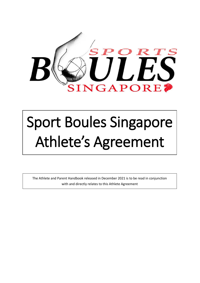

# Sport Boules Singapore Athlete's Agreement

The Athlete and Parent Handbook released in December 2021 is to be read in conjunction with and directly relates to this Athlete Agreement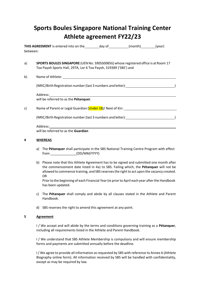## **Sports Boules Singapore National Training Center Athlete agreement FY22/23**

**THIS AGREEMENT** is entered into on the day of (month) (year) between:

- a) **SPORTS BOULES SINGAPORE** (UENNo. S90SS0085G) whose registered office is at Room 17 Toa Payoh Sports Hall, 297A, Lor 6 Toa Payoh, 319389 ('SBS') and
- b) Name of Athlete:

(NRIC/Birth Registration number (last 3 numbers and letter): )

Address:

will be referred to as the **Pétanquer**.

c) Comme of Parent or Legal Guardian (Under 18)/ Next of Kin:

(NRIC/Birth Registration number (last 3 numbers and letter): )

| Address:                            |
|-------------------------------------|
| will be referred to as the Guardian |

### **4 WHEREAS**

- a) The **Pétanquer** shall participate in the SBS National Training Centre Program with effect from  $(DD/MM/YYYY)$
- b) Please note that this Athlete Agreement has to be signed and submitted one month after the commencement date listed in 4a) to SBS. Failing which, the **Pétanquer** will not be allowed to commence training, and SBS reserves the right to act upon the vacancy created. OR

Prior to the beginning of each Financial Year (ie prior to April each year after the Handbook has been updated.

- c) The **Pétanquer** shall comply and abide by all clauses stated in the Athlete and Parent Handbook.
- d) SBS reserves the right to amend this agreement at any point.

#### **5 Agreement**

I / We accept and will abide by the terms and conditions governing training as a **Pétanquer**, including all requirements listed in the Athlete and Parent Handbook.

I / We understand that SBS Athlete Membership is compulsory and will ensure membership forms and payments are submitted annually before the deadline.

I/ We agree to provide all information as requested by SBS with reference to Annex A (Athlete Biography online form). All information received by SBS will be handled with confidentiality, except as may be required by law.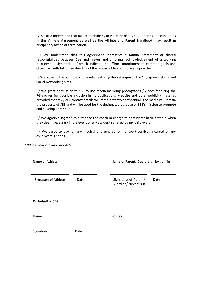I / We also understand that failure to abide by or violation of any stated terms and conditions in this Athlete Agreement as well as the Athlete and Parent Handbook may result in disciplinary action or termination.

I / We understand that this agreement represents a mutual statement of shared responsibilities between SBS and me/us and a formal acknowledgement of a working relationship, signatories of which indicate and affirm commitment to common goals and objectives with full understanding of the mutual obligations placed upon them.

I / We agree to the publication of media featuring the Petanque on the Singapore website and Social Networking sites.

I / We grant permission to SBS to use media including photographs / videos featuring the **Pétanquer** for possible inclusion in its publications, website and other publicity material, provided that my / our contact details will remain strictly confidential. The media will remain the property of SBS and will be used for the designated purpose of SBS's mission to promote and develop **Pétanque**.

I / We **agree/disagree\*** to authorize the coach in-charge to administer basic first aid when they deem necessary in the event of any accident suffered by my child/ward.

I / We agree to pay for any medical and emergency transport services incurred on my child/ward's behalf.

*\*\*Please indicate appropriately.*

Name of Athlete **Name of Parent/ Guardian/ Next of Kin** Signature of Athlete Date Date Signature of Parent/ Guardian/ Next of Kin Date **On behalf of SBS** Name Position Signature Date